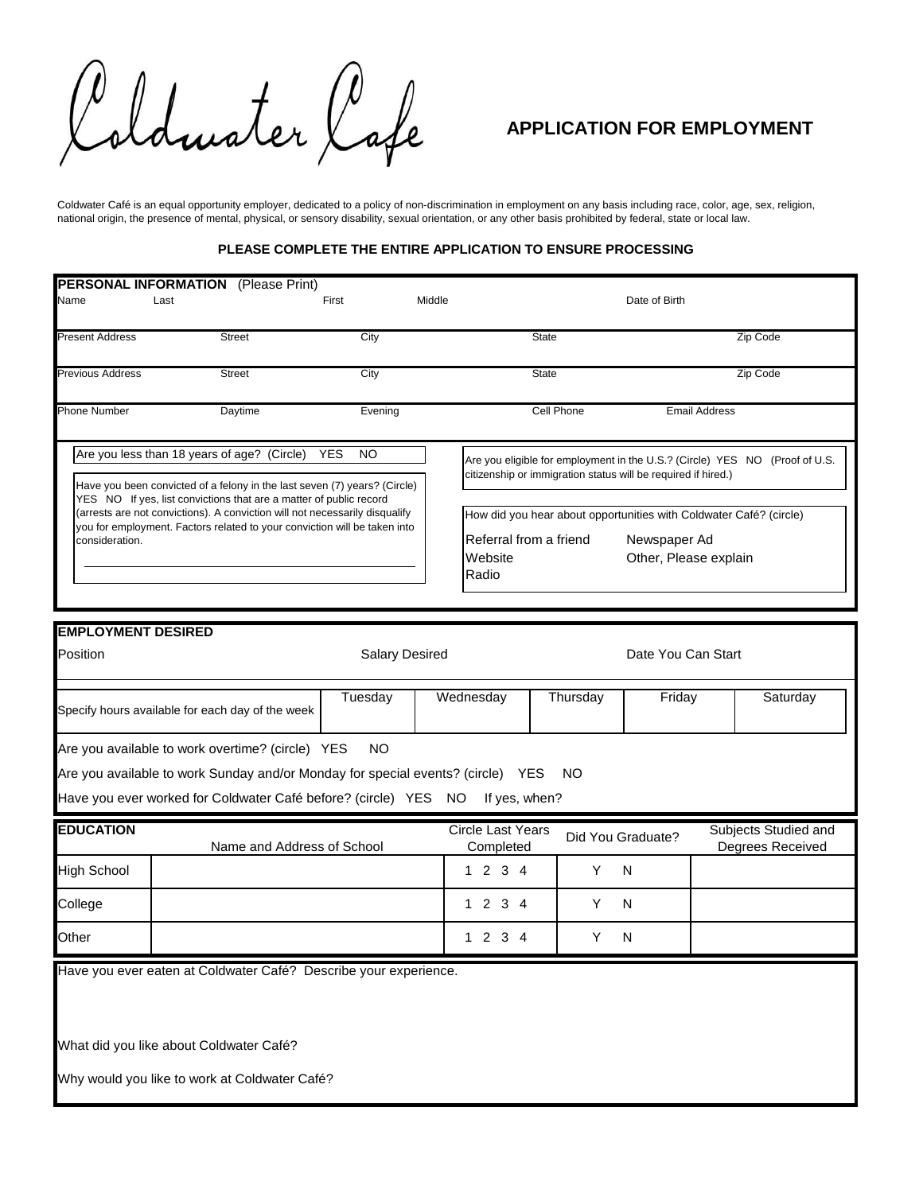Idmoter Cafe

## **APPLICATION FOR EMPLOYMENT**

*Coldwater Café is an equal opportunity employer, dedicated to a policy of non-discrimination in employment on any basis including race, color, age, sex, religion, national origin, the presence of mental, physical, or sensory disability, sexual orientation, or any other basis prohibited by federal, state or local law.* 

## **PLEASE COMPLETE THE ENTIRE APPLICATION TO ENSURE PROCESSING**

| <b>PERSONAL INFORMATION</b> (Please Print)<br>Name<br>Last                                                                                                                                                                                                                                                                                                                                        |               | First   | Middle                                     | Date of Birth                                                                                                                                |  |  |  |
|---------------------------------------------------------------------------------------------------------------------------------------------------------------------------------------------------------------------------------------------------------------------------------------------------------------------------------------------------------------------------------------------------|---------------|---------|--------------------------------------------|----------------------------------------------------------------------------------------------------------------------------------------------|--|--|--|
| <b>Present Address</b>                                                                                                                                                                                                                                                                                                                                                                            | <b>Street</b> | City    | <b>State</b>                               | Zip Code                                                                                                                                     |  |  |  |
| <b>Previous Address</b>                                                                                                                                                                                                                                                                                                                                                                           | <b>Street</b> | City    | <b>State</b>                               | Zip Code                                                                                                                                     |  |  |  |
| <b>Phone Number</b>                                                                                                                                                                                                                                                                                                                                                                               | Daytime       | Evening | Cell Phone                                 | <b>Email Address</b>                                                                                                                         |  |  |  |
| Are you less than 18 years of age? (Circle)<br><b>YES</b><br>NO.<br>Have you been convicted of a felony in the last seven (7) years? (Circle)<br>YES NO If yes, list convictions that are a matter of public record<br>(arrests are not convictions). A conviction will not necessarily disqualify<br>you for employment. Factors related to your conviction will be taken into<br>consideration. |               |         |                                            | Are you eligible for employment in the U.S.? (Circle) YES NO (Proof of U.S.<br>citizenship or immigration status will be required if hired.) |  |  |  |
|                                                                                                                                                                                                                                                                                                                                                                                                   |               |         | Referral from a friend<br>Website<br>Radio | How did you hear about opportunities with Coldwater Café? (circle)<br>Newspaper Ad<br>Other, Please explain                                  |  |  |  |
|                                                                                                                                                                                                                                                                                                                                                                                                   |               |         |                                            |                                                                                                                                              |  |  |  |

| <b>EMPLOYMENT DESIRED</b>                                                                                                                                                                                                                |                                                  |                       |                                |          |                    |  |                                          |  |
|------------------------------------------------------------------------------------------------------------------------------------------------------------------------------------------------------------------------------------------|--------------------------------------------------|-----------------------|--------------------------------|----------|--------------------|--|------------------------------------------|--|
| Position                                                                                                                                                                                                                                 |                                                  | <b>Salary Desired</b> |                                |          | Date You Can Start |  |                                          |  |
|                                                                                                                                                                                                                                          | Specify hours available for each day of the week | Tuesday               | Wednesday                      | Thursday | Friday             |  | Saturday                                 |  |
| Are you available to work overtime? (circle) YES<br><b>NO</b><br>Are you available to work Sunday and/or Monday for special events? (circle) YES<br>NO.<br>Have you ever worked for Coldwater Café before? (circle) YES NO If yes, when? |                                                  |                       |                                |          |                    |  |                                          |  |
| <b>EDUCATION</b>                                                                                                                                                                                                                         | Name and Address of School                       |                       | Circle Last Years<br>Completed |          | Did You Graduate?  |  | Subjects Studied and<br>Degrees Received |  |
| <b>High School</b>                                                                                                                                                                                                                       |                                                  |                       | 1 2 3 4                        | Y        | N                  |  |                                          |  |
| College                                                                                                                                                                                                                                  |                                                  |                       | 1234                           | Y        | N                  |  |                                          |  |
| Other                                                                                                                                                                                                                                    |                                                  |                       | 1234                           | Y        | N                  |  |                                          |  |
| Have you ever eaten at Coldwater Café? Describe your experience.                                                                                                                                                                         |                                                  |                       |                                |          |                    |  |                                          |  |
| What did you like about Coldwater Café?                                                                                                                                                                                                  |                                                  |                       |                                |          |                    |  |                                          |  |
| Why would you like to work at Coldwater Café?                                                                                                                                                                                            |                                                  |                       |                                |          |                    |  |                                          |  |